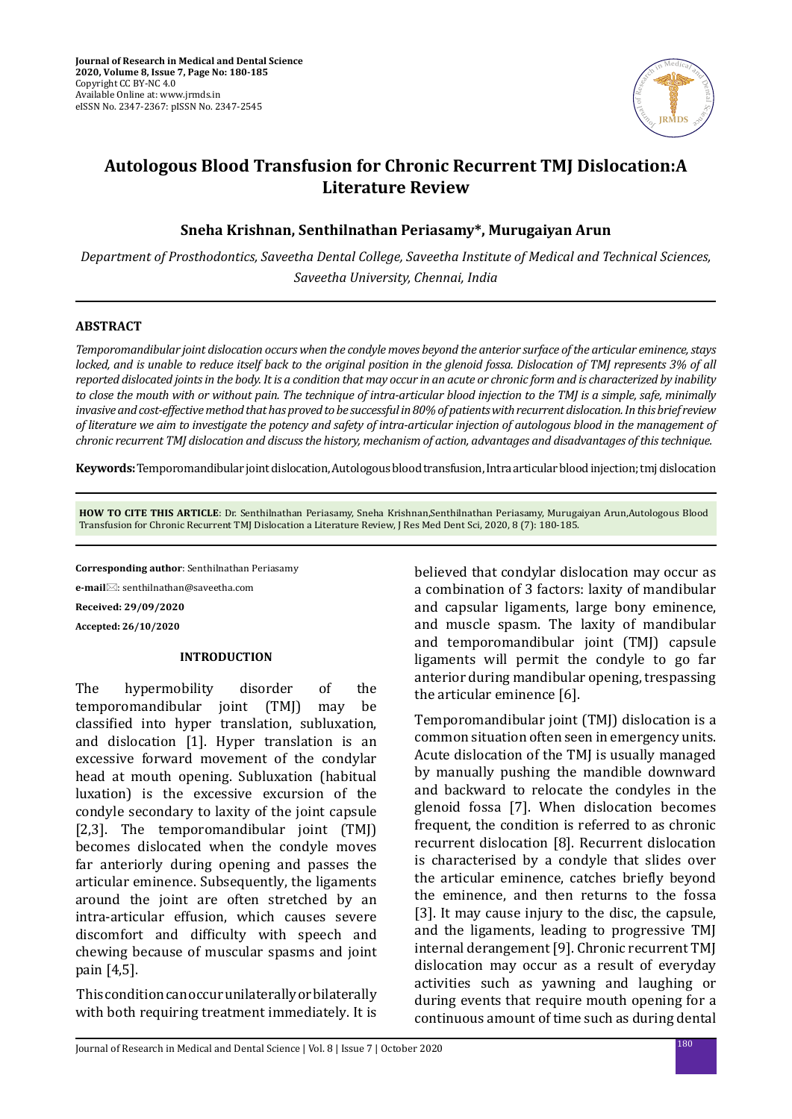

# **Autologous Blood Transfusion for Chronic Recurrent TMJ Dislocation:A Literature Review**

**Sneha Krishnan, Senthilnathan Periasamy\*, Murugaiyan Arun**

*Department of Prosthodontics, Saveetha Dental College, Saveetha Institute of Medical and Technical Sciences, Saveetha University, Chennai, India*

### **ABSTRACT**

*Temporomandibular joint dislocation occurs when the condyle moves beyond the anterior surface of the articular eminence, stays locked, and is unable to reduce itself back to the original position in the glenoid fossa. Dislocation of TMJ represents 3% of all reported dislocated joints in the body. It is a condition that may occur in an acute or chronic form and is characterized by inability to close the mouth with or without pain. The technique of intra-articular blood injection to the TMJ is a simple, safe, minimally invasive and cost-effective method that has proved to be successful in 80% of patients with recurrent dislocation. In this brief review of literature we aim to investigate the potency and safety of intra-articular injection of autologous blood in the management of chronic recurrent TMJ dislocation and discuss the history, mechanism of action, advantages and disadvantages of this technique.*

**Keywords:** Temporomandibular joint dislocation, Autologous blood transfusion, Intra articular blood injection; tmj dislocation

**HOW TO CITE THIS ARTICLE**: Dr. Senthilnathan Periasamy, Sneha Krishnan,Senthilnathan Periasamy, Murugaiyan Arun,Autologous Blood Transfusion for Chronic Recurrent TMJ Dislocation a Literature Review, J Res Med Dent Sci, 2020, 8 (7): 180-185.

**Corresponding author**: Senthilnathan Periasamy

**e-mail**: senthilnathan@saveetha.com

**Received: 29/09/2020**

**Accepted: 26/10/2020**

#### **INTRODUCTION**

The hypermobility disorder of the<br>temporomandibular ioint (TMI) may be temporomandibular joint (TMJ) classified into hyper translation, subluxation, and dislocation [1]. Hyper translation is an excessive forward movement of the condylar head at mouth opening. Subluxation (habitual luxation) is the excessive excursion of the condyle secondary to laxity of the joint capsule [2,3]. The temporomandibular joint (TMJ) becomes dislocated when the condyle moves far anteriorly during opening and passes the articular eminence. Subsequently, the ligaments around the joint are often stretched by an intra-articular effusion, which causes severe discomfort and difficulty with speech and chewing because of muscular spasms and joint pain [4,5].

 This condition can occur unilaterally or bilaterally with both requiring treatment immediately. It is believed that condylar dislocation may occur as a combination of 3 factors: laxity of mandibular and capsular ligaments, large bony eminence, and muscle spasm. The laxity of mandibular and temporomandibular joint (TMJ) capsule ligaments will permit the condyle to go far anterior during mandibular opening, trespassing the articular eminence [6].

Temporomandibular joint (TMJ) dislocation is a common situation often seen in emergency units. Acute dislocation of the TMJ is usually managed by manually pushing the mandible downward and backward to relocate the condyles in the glenoid fossa [7]. When dislocation becomes frequent, the condition is referred to as chronic recurrent dislocation [8]. Recurrent dislocation is characterised by a condyle that slides over the articular eminence, catches briefly beyond the eminence, and then returns to the fossa [3]. It may cause injury to the disc, the capsule, and the ligaments, leading to progressive TMJ internal derangement [9]. Chronic recurrent TMJ dislocation may occur as a result of everyday activities such as yawning and laughing or during events that require mouth opening for a continuous amount of time such as during dental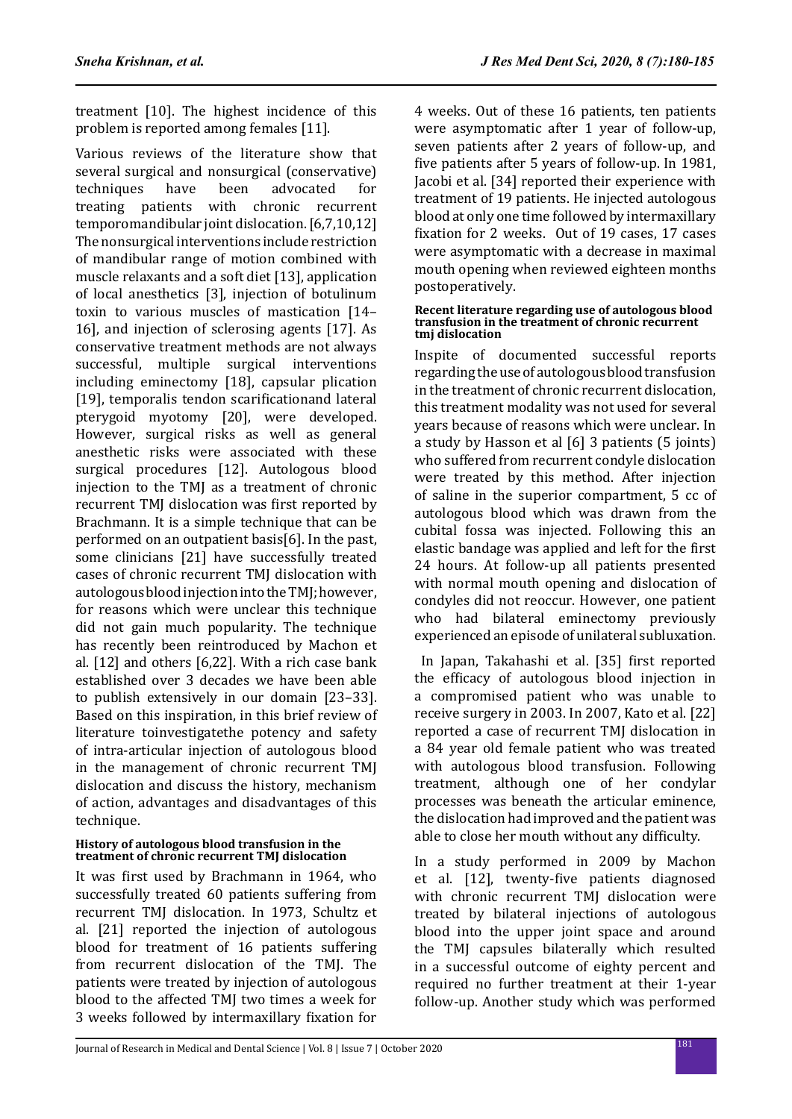treatment [10]. The highest incidence of this problem is reported among females [11].

Various reviews of the literature show that several surgical and nonsurgical (conservative)<br>techniques have been advocated for techniques treating patients with chronic recurrent temporomandibular joint dislocation. [6,7,10,12] The nonsurgical interventions include restriction of mandibular range of motion combined with muscle relaxants and a soft diet [13], application of local anesthetics [3], injection of botulinum toxin to various muscles of mastication [14– 16], and injection of sclerosing agents [17]. As conservative treatment methods are not always successful, multiple surgical interventions including eminectomy [18], capsular plication [19], temporalis tendon scarificationand lateral pterygoid myotomy [20], were developed. However, surgical risks as well as general anesthetic risks were associated with these surgical procedures [12]. Autologous blood injection to the TMJ as a treatment of chronic recurrent TMJ dislocation was first reported by Brachmann. It is a simple technique that can be performed on an outpatient basis[6]. In the past, some clinicians [21] have successfully treated cases of chronic recurrent TMJ dislocation with autologous blood injection into the TMJ; however, for reasons which were unclear this technique did not gain much popularity. The technique has recently been reintroduced by Machon et al. [12] and others [6,22]. With a rich case bank established over 3 decades we have been able to publish extensively in our domain [23–33]. Based on this inspiration, in this brief review of literature toinvestigatethe potency and safety of intra-articular injection of autologous blood in the management of chronic recurrent TMJ dislocation and discuss the history, mechanism of action, advantages and disadvantages of this technique.

#### **History of autologous blood transfusion in the treatment of chronic recurrent TMJ dislocation**

It was first used by Brachmann in 1964, who successfully treated 60 patients suffering from recurrent TMJ dislocation. In 1973, Schultz et al. [21] reported the injection of autologous blood for treatment of 16 patients suffering from recurrent dislocation of the TMJ. The patients were treated by injection of autologous blood to the affected TMJ two times a week for 3 weeks followed by intermaxillary fixation for 4 weeks. Out of these 16 patients, ten patients were asymptomatic after 1 year of follow-up, seven patients after 2 years of follow-up, and five patients after 5 years of follow-up. In 1981, Jacobi et al. [34] reported their experience with treatment of 19 patients. He injected autologous blood at only one time followed by intermaxillary fixation for 2 weeks. Out of 19 cases, 17 cases were asymptomatic with a decrease in maximal mouth opening when reviewed eighteen months postoperatively.

#### **Recent literature regarding use of autologous blood transfusion in the treatment of chronic recurrent tmj dislocation**

Inspite of documented successful reports regarding the use of autologous blood transfusion in the treatment of chronic recurrent dislocation, this treatment modality was not used for several years because of reasons which were unclear. In a study by Hasson et al [6] 3 patients (5 joints) who suffered from recurrent condyle dislocation were treated by this method. After injection of saline in the superior compartment, 5 cc of autologous blood which was drawn from the cubital fossa was injected. Following this an elastic bandage was applied and left for the first 24 hours. At follow-up all patients presented with normal mouth opening and dislocation of condyles did not reoccur. However, one patient who had bilateral eminectomy previously experienced an episode of unilateral subluxation.

 In Japan, Takahashi et al. [35] first reported the efficacy of autologous blood injection in a compromised patient who was unable to receive surgery in 2003. In 2007, Kato et al. [22] reported a case of recurrent TMJ dislocation in a 84 year old female patient who was treated with autologous blood transfusion. Following treatment, although one of her condylar processes was beneath the articular eminence, the dislocation had improved and the patient was able to close her mouth without any difficulty.

In a study performed in 2009 by Machon et al. [12], twenty-five patients diagnosed with chronic recurrent TMJ dislocation were treated by bilateral injections of autologous blood into the upper joint space and around the TMJ capsules bilaterally which resulted in a successful outcome of eighty percent and required no further treatment at their 1-year follow-up. Another study which was performed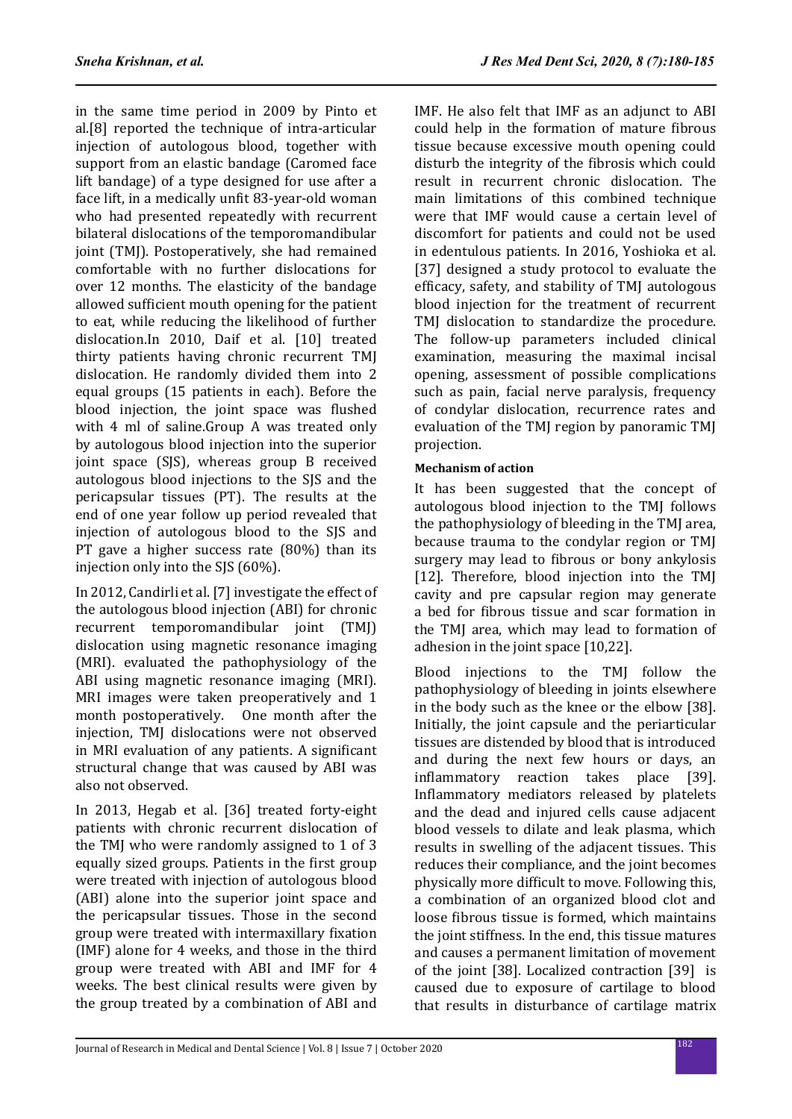in the same time period in 2009 by Pinto et al.[8] reported the technique of intra-articular injection of autologous blood, together with support from an elastic bandage (Caromed face lift bandage) of a type designed for use after a face lift, in a medically unfit 83-year-old woman who had presented repeatedly with recurrent bilateral dislocations of the temporomandibular joint (TMJ). Postoperatively, she had remained comfortable with no further dislocations for over 12 months. The elasticity of the bandage allowed sufficient mouth opening for the patient to eat, while reducing the likelihood of further dislocation.In 2010, Daif et al. [10] treated thirty patients having chronic recurrent TMJ dislocation. He randomly divided them into 2 equal groups (15 patients in each). Before the blood injection, the joint space was flushed with 4 ml of saline.Group A was treated only by autologous blood injection into the superior joint space (SJS), whereas group B received autologous blood injections to the SJS and the pericapsular tissues (PT). The results at the end of one year follow up period revealed that injection of autologous blood to the SJS and PT gave a higher success rate (80%) than its injection only into the SJS (60%).

In 2012, Candirli et al. [7] investigate the effect of the autologous blood injection (ABI) for chronic recurrent temporomandibular joint (TMJ) dislocation using magnetic resonance imaging (MRI). evaluated the pathophysiology of the ABI using magnetic resonance imaging (MRI). MRI images were taken preoperatively and 1 month postoperatively. One month after the month postoperatively. injection, TMJ dislocations were not observed in MRI evaluation of any patients. A significant structural change that was caused by ABI was also not observed.

In 2013, Hegab et al. [36] treated forty-eight patients with chronic recurrent dislocation of the TMJ who were randomly assigned to 1 of 3 equally sized groups. Patients in the first group were treated with injection of autologous blood (ABI) alone into the superior joint space and the pericapsular tissues. Those in the second group were treated with intermaxillary fixation (IMF) alone for 4 weeks, and those in the third group were treated with ABI and IMF for 4 weeks. The best clinical results were given by the group treated by a combination of ABI and IMF. He also felt that IMF as an adjunct to ABI could help in the formation of mature fibrous tissue because excessive mouth opening could disturb the integrity of the fibrosis which could result in recurrent chronic dislocation. The main limitations of this combined technique were that IMF would cause a certain level of discomfort for patients and could not be used in edentulous patients. In 2016, Yoshioka et al. [37] designed a study protocol to evaluate the efficacy, safety, and stability of TMJ autologous blood injection for the treatment of recurrent TMJ dislocation to standardize the procedure. The follow-up parameters included clinical examination, measuring the maximal incisal opening, assessment of possible complications such as pain, facial nerve paralysis, frequency of condylar dislocation, recurrence rates and evaluation of the TMJ region by panoramic TMJ projection.

## **Mechanism of action**

It has been suggested that the concept of autologous blood injection to the TMJ follows the pathophysiology of bleeding in the TMJ area, because trauma to the condylar region or TMJ surgery may lead to fibrous or bony ankylosis [12]. Therefore, blood injection into the TMJ cavity and pre capsular region may generate a bed for fibrous tissue and scar formation in the TMJ area, which may lead to formation of adhesion in the joint space [10,22].

Blood injections to the TMJ follow the pathophysiology of bleeding in joints elsewhere in the body such as the knee or the elbow [38]. Initially, the joint capsule and the periarticular tissues are distended by blood that is introduced and during the next few hours or days, an inflammatory reaction takes place [39]. Inflammatory mediators released by platelets and the dead and injured cells cause adjacent blood vessels to dilate and leak plasma, which results in swelling of the adjacent tissues. This reduces their compliance, and the joint becomes physically more difficult to move. Following this, a combination of an organized blood clot and loose fibrous tissue is formed, which maintains the joint stiffness. In the end, this tissue matures and causes a permanent limitation of movement of the joint [38]. Localized contraction [39] is caused due to exposure of cartilage to blood that results in disturbance of cartilage matrix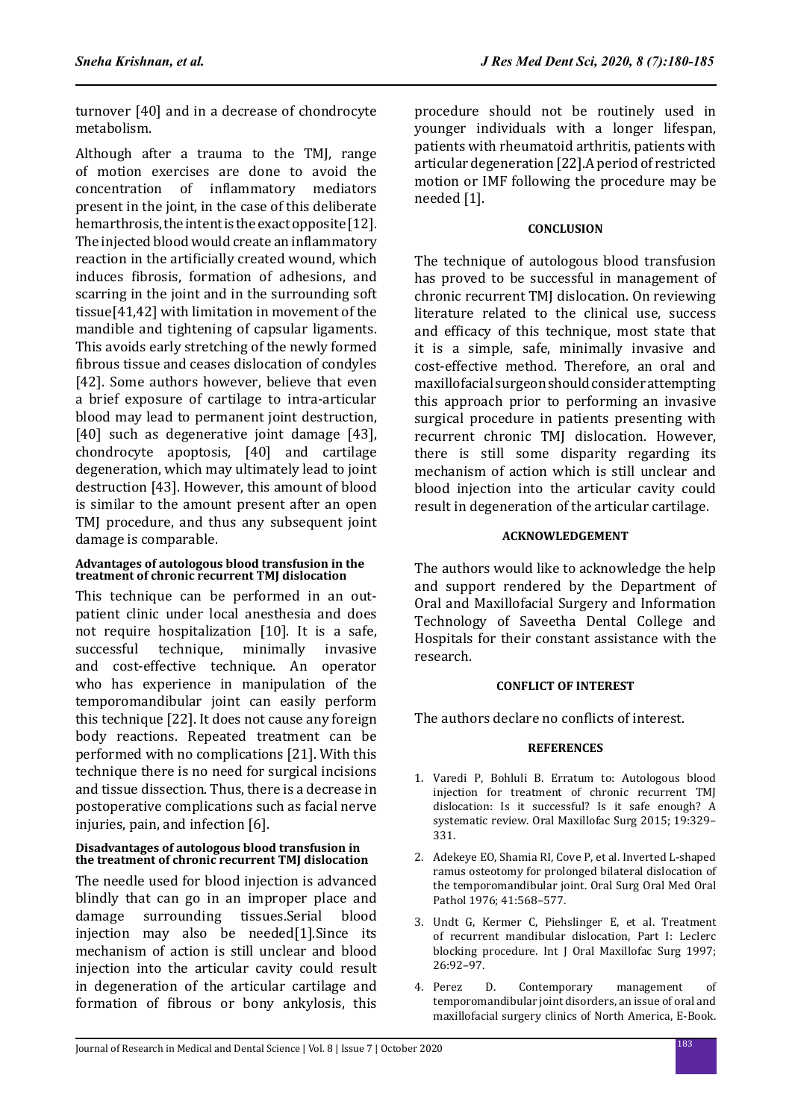turnover [40] and in a decrease of chondrocyte metabolism.

Although after a trauma to the TMJ, range of motion exercises are done to avoid the<br>concentration of inflammatory mediators concentration of inflammatory present in the joint, in the case of this deliberate hemarthrosis, the intent is the exact opposite [12]. The injected blood would create an inflammatory reaction in the artificially created wound, which induces fibrosis, formation of adhesions, and scarring in the joint and in the surrounding soft tissue[41,42] with limitation in movement of the mandible and tightening of capsular ligaments. This avoids early stretching of the newly formed fibrous tissue and ceases dislocation of condyles [42]. Some authors however, believe that even a brief exposure of cartilage to intra-articular blood may lead to permanent joint destruction, [40] such as degenerative joint damage [43], chondrocyte apoptosis, [40] and cartilage degeneration, which may ultimately lead to joint destruction [43]. However, this amount of blood is similar to the amount present after an open TMJ procedure, and thus any subsequent joint damage is comparable.

#### **Advantages of autologous blood transfusion in the treatment of chronic recurrent TMJ dislocation**

This technique can be performed in an outpatient clinic under local anesthesia and does not require hospitalization [10]. It is a safe,<br>successful technique, minimally invasive technique. and cost-effective technique. An operator who has experience in manipulation of the temporomandibular joint can easily perform this technique [22]. It does not cause any foreign body reactions. Repeated treatment can be performed with no complications [21]. With this technique there is no need for surgical incisions and tissue dissection. Thus, there is a decrease in postoperative complications such as facial nerve injuries, pain, and infection [6].

### **Disadvantages of autologous blood transfusion in the treatment of chronic recurrent TMJ dislocation**

The needle used for blood injection is advanced blindly that can go in an improper place and<br>damage surrounding tissues.Serial blood damage surrounding tissues.Serial blood injection may also be needed[1].Since its mechanism of action is still unclear and blood injection into the articular cavity could result in degeneration of the articular cartilage and formation of fibrous or bony ankylosis, this procedure should not be routinely used in younger individuals with a longer lifespan, patients with rheumatoid arthritis, patients with articular degeneration [22].A period of restricted motion or IMF following the procedure may be needed [1].

## **CONCLUSION**

The technique of autologous blood transfusion has proved to be successful in management of chronic recurrent TMJ dislocation. On reviewing literature related to the clinical use, success and efficacy of this technique, most state that it is a simple, safe, minimally invasive and cost-effective method. Therefore, an oral and maxillofacial surgeon should consider attempting this approach prior to performing an invasive surgical procedure in patients presenting with recurrent chronic TMJ dislocation. However, there is still some disparity regarding its mechanism of action which is still unclear and blood injection into the articular cavity could result in degeneration of the articular cartilage.

## **ACKNOWLEDGEMENT**

The authors would like to acknowledge the help and support rendered by the Department of Oral and Maxillofacial Surgery and Information Technology of Saveetha Dental College and Hospitals for their constant assistance with the research.

## **CONFLICT OF INTEREST**

The authors declare no conflicts of interest.

## **REFERENCES**

- 1. Varedi P, Bohluli B. Erratum to: Autologous blood injection for treatment of chronic recurrent TMJ dislocation: Is it successful? Is it safe enough? A systematic review. Oral Maxillofac Surg 2015; 19:329– 331.
- 2. Adekeye EO, Shamia RI, Cove P, et al. Inverted L-shaped ramus osteotomy for prolonged bilateral dislocation of the temporomandibular joint. Oral Surg Oral Med Oral Pathol 1976; 41:568–577.
- 3. Undt G, Kermer C, Piehslinger E, et al. Treatment of recurrent mandibular dislocation, Part I: Leclerc blocking procedure. Int J Oral Maxillofac Surg 1997; 26:92–97.
- 4. Perez D. Contemporary management of temporomandibular joint disorders, an issue of oral and maxillofacial surgery clinics of North America, E-Book.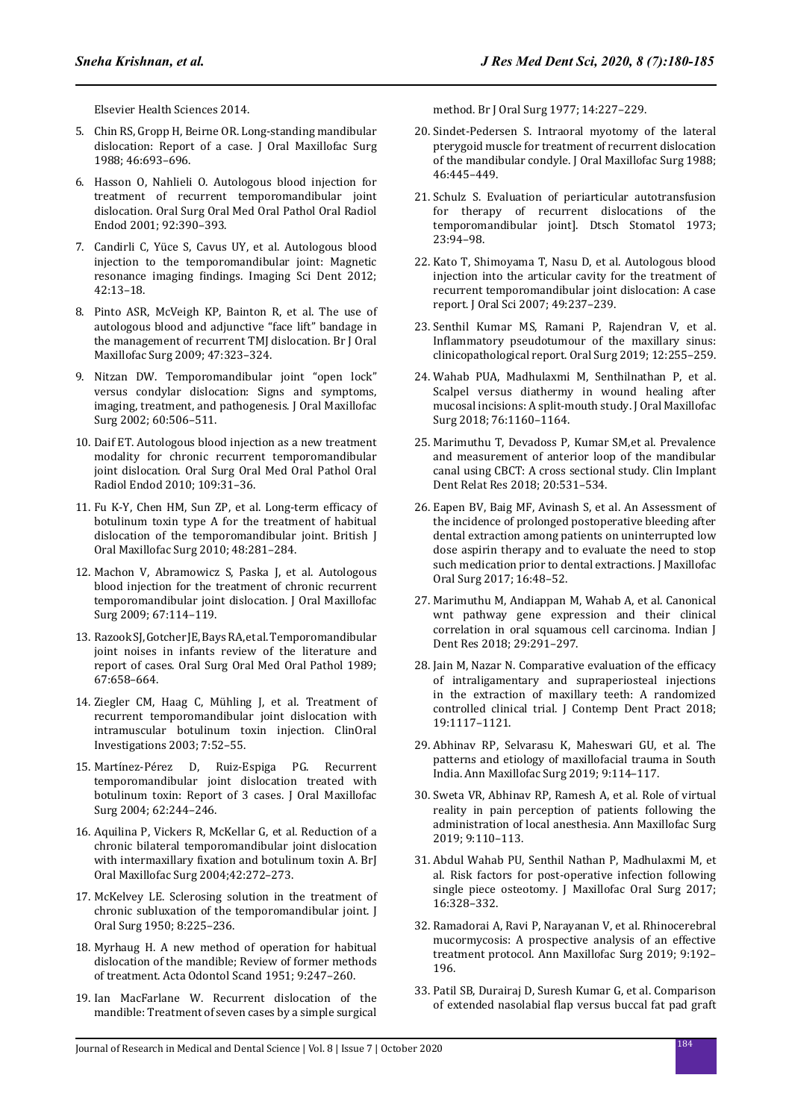Elsevier Health Sciences 2014.

- 5. Chin RS, Gropp H, Beirne OR. Long-standing mandibular dislocation: Report of a case. J Oral Maxillofac Surg 1988; 46:693–696.
- 6. Hasson O, Nahlieli O. Autologous blood injection for treatment of recurrent temporomandibular joint dislocation. Oral Surg Oral Med Oral Pathol Oral Radiol Endod 2001; 92:390–393.
- 7. Candirli C, Yüce S, Cavus UY, et al. Autologous blood injection to the temporomandibular joint: Magnetic resonance imaging findings. Imaging Sci Dent 2012; 42:13–18.
- 8. Pinto ASR, McVeigh KP, Bainton R, et al. The use of autologous blood and adjunctive "face lift" bandage in the management of recurrent TMJ dislocation. Br J Oral Maxillofac Surg 2009; 47:323–324.
- 9. Nitzan DW. Temporomandibular joint "open lock" versus condylar dislocation: Signs and symptoms, imaging, treatment, and pathogenesis. J Oral Maxillofac Surg 2002; 60:506–511.
- 10. Daif ET. Autologous blood injection as a new treatment modality for chronic recurrent temporomandibular joint dislocation. Oral Surg Oral Med Oral Pathol Oral Radiol Endod 2010; 109:31–36.
- 11. Fu K-Y, Chen HM, Sun ZP, et al. Long-term efficacy of botulinum toxin type A for the treatment of habitual dislocation of the temporomandibular joint. British J Oral Maxillofac Surg 2010; 48:281–284.
- 12. Machon V, Abramowicz S, Paska J, et al. Autologous blood injection for the treatment of chronic recurrent temporomandibular joint dislocation. J Oral Maxillofac Surg 2009; 67:114–119.
- 13. Razook SJ, Gotcher JE, Bays RA, et al. Temporomandibular joint noises in infants review of the literature and report of cases. Oral Surg Oral Med Oral Pathol 1989; 67:658–664.
- 14. Ziegler CM, Haag C, Mühling J, et al. Treatment of recurrent temporomandibular joint dislocation with intramuscular botulinum toxin injection. ClinOral Investigations 2003; 7:52–55.
- 15. Martínez-Pérez D, Ruiz-Espiga PG. Recurrent temporomandibular joint dislocation treated with botulinum toxin: Report of 3 cases. J Oral Maxillofac Surg 2004; 62:244–246.
- 16. Aquilina P, Vickers R, McKellar G, et al. Reduction of a chronic bilateral temporomandibular joint dislocation with intermaxillary fixation and botulinum toxin A. BrJ Oral Maxillofac Surg 2004;42:272–273.
- 17. McKelvey LE. Sclerosing solution in the treatment of chronic subluxation of the temporomandibular joint. J Oral Surg 1950; 8:225–236.
- 18. Myrhaug H. A new method of operation for habitual dislocation of the mandible; Review of former methods of treatment. Acta Odontol Scand 1951; 9:247–260.
- 19. Ian MacFarlane W. Recurrent dislocation of the mandible: Treatment of seven cases by a simple surgical

method. Br J Oral Surg 1977; 14:227–229.

- 20. Sindet-Pedersen S. Intraoral myotomy of the lateral pterygoid muscle for treatment of recurrent dislocation of the mandibular condyle. J Oral Maxillofac Surg 1988; 46:445–449.
- 21. Schulz S. Evaluation of periarticular autotransfusion for therapy of recurrent dislocations of the temporomandibular joint]. Dtsch Stomatol 1973; 23:94–98.
- 22. Kato T, Shimoyama T, Nasu D, et al. Autologous blood injection into the articular cavity for the treatment of recurrent temporomandibular joint dislocation: A case report. J Oral Sci 2007; 49:237–239.
- 23. Senthil Kumar MS, Ramani P, Rajendran V, et al. Inflammatory pseudotumour of the maxillary sinus: clinicopathological report. Oral Surg 2019; 12:255–259.
- 24. Wahab PUA, Madhulaxmi M, Senthilnathan P, et al. Scalpel versus diathermy in wound healing after mucosal incisions: A split-mouth study. J Oral Maxillofac Surg 2018; 76:1160–1164.
- 25. Marimuthu T, Devadoss P, Kumar SM,et al. Prevalence and measurement of anterior loop of the mandibular canal using CBCT: A cross sectional study. Clin Implant Dent Relat Res 2018; 20:531–534.
- 26. Eapen BV, Baig MF, Avinash S, et al. An Assessment of the incidence of prolonged postoperative bleeding after dental extraction among patients on uninterrupted low dose aspirin therapy and to evaluate the need to stop such medication prior to dental extractions. J Maxillofac Oral Surg 2017; 16:48–52.
- 27. Marimuthu M, Andiappan M, Wahab A, et al. Canonical wnt pathway gene expression and their clinical correlation in oral squamous cell carcinoma. Indian J Dent Res 2018; 29:291–297.
- 28. Jain M, Nazar N. Comparative evaluation of the efficacy of intraligamentary and supraperiosteal injections in the extraction of maxillary teeth: A randomized controlled clinical trial. J Contemp Dent Pract 2018; 19:1117–1121.
- 29. Abhinav RP, Selvarasu K, Maheswari GU, et al. The patterns and etiology of maxillofacial trauma in South India. Ann Maxillofac Surg 2019; 9:114–117.
- 30. Sweta VR, Abhinav RP, Ramesh A, et al. Role of virtual reality in pain perception of patients following the administration of local anesthesia. Ann Maxillofac Surg 2019; 9:110–113.
- 31. Abdul Wahab PU, Senthil Nathan P, Madhulaxmi M, et al. Risk factors for post-operative infection following single piece osteotomy. J Maxillofac Oral Surg 2017; 16:328–332.
- 32. Ramadorai A, Ravi P, Narayanan V, et al. Rhinocerebral mucormycosis: A prospective analysis of an effective treatment protocol. Ann Maxillofac Surg 2019; 9:192– 196.
- 33. Patil SB, Durairaj D, Suresh Kumar G, et al. Comparison of extended nasolabial flap versus buccal fat pad graft